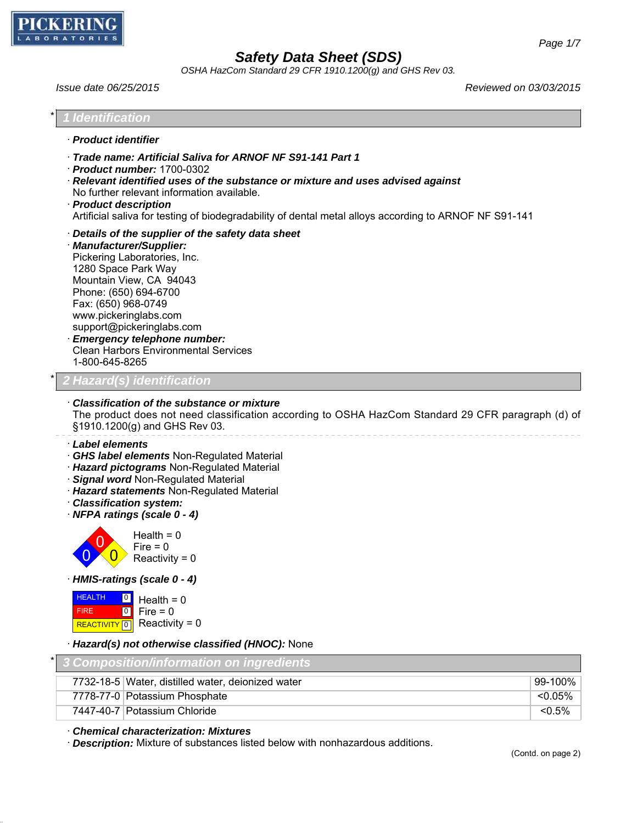

*OSHA HazCom Standard 29 CFR 1910.1200(g) and GHS Rev 03.*

*Issue date 06/25/2015 Reviewed on 03/03/2015*

| <b>Identification</b>                                                                                                                                                                                                                                                                                                                                                       |            |
|-----------------------------------------------------------------------------------------------------------------------------------------------------------------------------------------------------------------------------------------------------------------------------------------------------------------------------------------------------------------------------|------------|
| · Product identifier                                                                                                                                                                                                                                                                                                                                                        |            |
| Trade name: Artificial Saliva for ARNOF NF S91-141 Part 1<br>$\cdot$ Product number: 1700-0302<br>· Relevant identified uses of the substance or mixture and uses advised against<br>No further relevant information available.<br>· Product description<br>Artificial saliva for testing of biodegradability of dental metal alloys according to ARNOF NF S91-141          |            |
| Details of the supplier of the safety data sheet<br>· Manufacturer/Supplier:<br>Pickering Laboratories, Inc.<br>1280 Space Park Way<br>Mountain View, CA 94043<br>Phone: (650) 694-6700<br>Fax: (650) 968-0749<br>www.pickeringlabs.com<br>support@pickeringlabs.com<br><b>Emergency telephone number:</b><br><b>Clean Harbors Environmental Services</b><br>1-800-645-8265 |            |
| Hazard(s) identification                                                                                                                                                                                                                                                                                                                                                    |            |
| Classification of the substance or mixture<br>The product does not need classification according to OSHA HazCom Standard 29 CFR paragraph (d) of<br>§1910.1200(g) and GHS Rev 03.<br>· Label elements                                                                                                                                                                       |            |
| GHS label elements Non-Regulated Material<br>· Hazard pictograms Non-Regulated Material<br>· Signal word Non-Regulated Material<br>· Hazard statements Non-Regulated Material<br>· Classification system:<br>· NFPA ratings (scale 0 - 4)                                                                                                                                   |            |
| Health = $0$<br>$Fire = 0$<br>Reactivity = $0$                                                                                                                                                                                                                                                                                                                              |            |
| · HMIS-ratings (scale 0 - 4)                                                                                                                                                                                                                                                                                                                                                |            |
| <b>HEALTH</b><br>$\boxed{0}$<br>Health = $0$<br>$\boxed{0}$<br>$Fire = 0$<br><b>FIRE</b><br>Reactivity = $0$<br><b>REACTIVITY</b> 0                                                                                                                                                                                                                                         |            |
| · Hazard(s) not otherwise classified (HNOC): None                                                                                                                                                                                                                                                                                                                           |            |
| *<br><b>Composition/information on ingredients</b>                                                                                                                                                                                                                                                                                                                          |            |
| 7732-18-5 Water, distilled water, deionized water                                                                                                                                                                                                                                                                                                                           | 99-100%    |
| 7778-77-0 Potassium Phosphate                                                                                                                                                                                                                                                                                                                                               | $< 0.05\%$ |
| 7447-40-7 Potassium Chloride                                                                                                                                                                                                                                                                                                                                                | $< 0.5\%$  |

· *Chemical characterization: Mixtures*

· *Description:* Mixture of substances listed below with nonhazardous additions.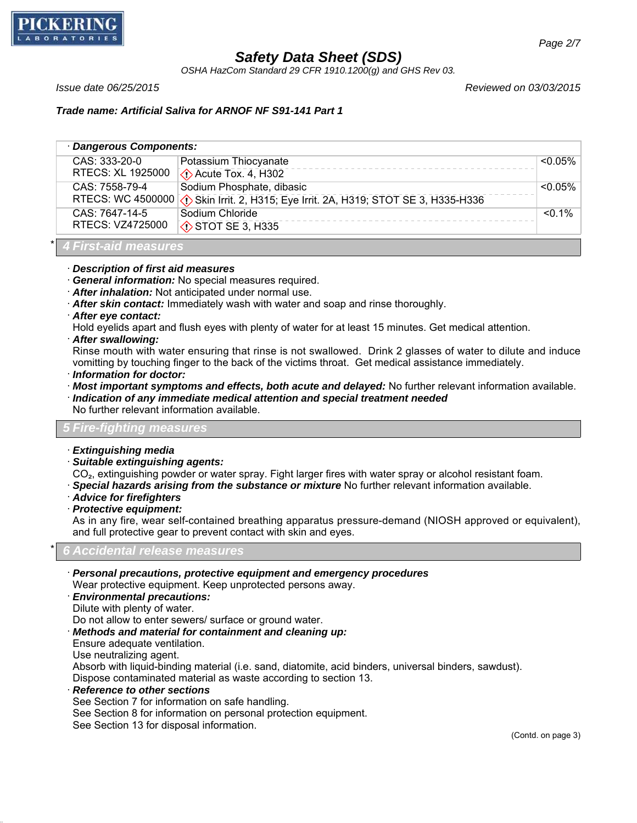

*OSHA HazCom Standard 29 CFR 1910.1200(g) and GHS Rev 03.*

*Issue date 06/25/2015 Reviewed on 03/03/2015*

*Trade name: Artificial Saliva for ARNOF NF S91-141 Part 1*

| Dangerous Components: |                                                                                    |            |  |  |
|-----------------------|------------------------------------------------------------------------------------|------------|--|--|
| CAS: 333-20-0         | Potassium Thiocyanate                                                              | $<$ 0.05%  |  |  |
| RTECS: XL 1925000     | $\Diamond$ Acute Tox. 4, H302                                                      |            |  |  |
| CAS: 7558-79-4        | Sodium Phosphate, dibasic                                                          | $< 0.05\%$ |  |  |
|                       | RTECS: WC 4500000 3 Skin Irrit. 2, H315; Eye Irrit. 2A, H319; STOT SE 3, H335-H336 |            |  |  |
| CAS: 7647-14-5        | Sodium Chloride                                                                    | $< 0.1\%$  |  |  |
| RTECS: VZ4725000      | $\circledcirc$ STOT SE 3, H335                                                     |            |  |  |
|                       |                                                                                    |            |  |  |

# \* *4 First-aid measures*

#### · *Description of first aid measures*

- · *General information:* No special measures required.
- · *After inhalation:* Not anticipated under normal use.
- · *After skin contact:* Immediately wash with water and soap and rinse thoroughly.
- · *After eye contact:*
- Hold eyelids apart and flush eyes with plenty of water for at least 15 minutes. Get medical attention.
- · *After swallowing:*

Rinse mouth with water ensuring that rinse is not swallowed. Drink 2 glasses of water to dilute and induce vomitting by touching finger to the back of the victims throat. Get medical assistance immediately.

- · *Information for doctor:*
- · *Most important symptoms and effects, both acute and delayed:* No further relevant information available.
- · *Indication of any immediate medical attention and special treatment needed* No further relevant information available.

#### *5 Fire-fighting measures*

- · *Extinguishing media*
- · *Suitable extinguishing agents:*

CO<sub>2</sub>, extinguishing powder or water spray. Fight larger fires with water spray or alcohol resistant foam.

- · *Special hazards arising from the substance or mixture* No further relevant information available.
- · *Advice for firefighters*
- · *Protective equipment:*

As in any fire, wear self-contained breathing apparatus pressure-demand (NIOSH approved or equivalent), and full protective gear to prevent contact with skin and eyes.

#### \* *6 Accidental release measures*

- · *Personal precautions, protective equipment and emergency procedures* Wear protective equipment. Keep unprotected persons away.
- · *Environmental precautions:*
- Dilute with plenty of water.

Do not allow to enter sewers/ surface or ground water.

- · *Methods and material for containment and cleaning up:*
- Ensure adequate ventilation.

Use neutralizing agent.

Absorb with liquid-binding material (i.e. sand, diatomite, acid binders, universal binders, sawdust). Dispose contaminated material as waste according to section 13.

- · *Reference to other sections*
- See Section 7 for information on safe handling.

See Section 8 for information on personal protection equipment.

See Section 13 for disposal information.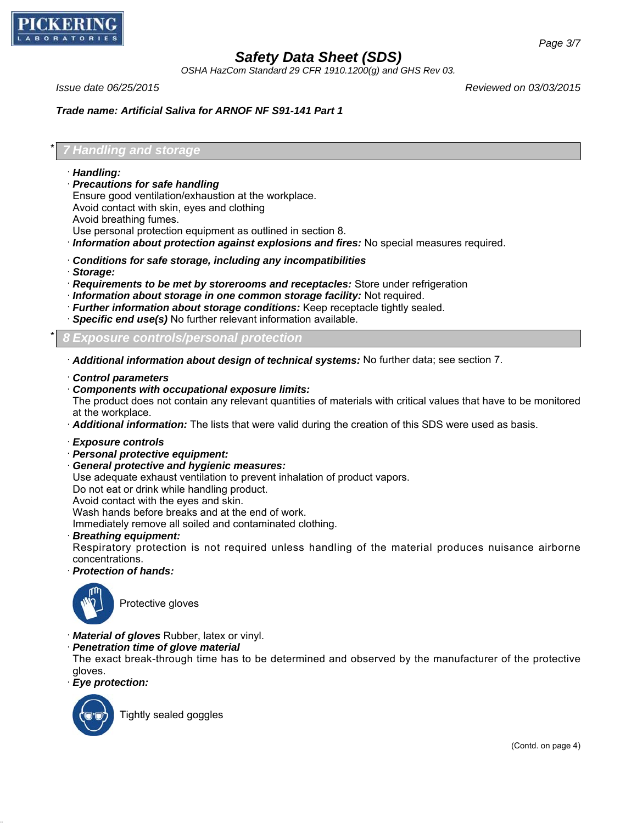

*OSHA HazCom Standard 29 CFR 1910.1200(g) and GHS Rev 03.*

*Issue date 06/25/2015 Reviewed on 03/03/2015*

*Trade name: Artificial Saliva for ARNOF NF S91-141 Part 1*

### \* *7 Handling and storage*

- · *Handling:*
- · *Precautions for safe handling*

Ensure good ventilation/exhaustion at the workplace.

Avoid contact with skin, eyes and clothing

Avoid breathing fumes.

Use personal protection equipment as outlined in section 8.

- · *Information about protection against explosions and fires:* No special measures required.
- · *Conditions for safe storage, including any incompatibilities*
- · *Storage:*
- · *Requirements to be met by storerooms and receptacles:* Store under refrigeration
- · *Information about storage in one common storage facility:* Not required.
- · *Further information about storage conditions:* Keep receptacle tightly sealed.
- · *Specific end use(s)* No further relevant information available.

\* *8 Exposure controls/personal protection*

· *Additional information about design of technical systems:* No further data; see section 7.

- · *Control parameters*
- · *Components with occupational exposure limits:*

The product does not contain any relevant quantities of materials with critical values that have to be monitored at the workplace.

· *Additional information:* The lists that were valid during the creation of this SDS were used as basis.

- · *Exposure controls*
- · *Personal protective equipment:*
- · *General protective and hygienic measures:*

Use adequate exhaust ventilation to prevent inhalation of product vapors.

Do not eat or drink while handling product.

Avoid contact with the eyes and skin.

Wash hands before breaks and at the end of work.

Immediately remove all soiled and contaminated clothing.

· *Breathing equipment:*

Respiratory protection is not required unless handling of the material produces nuisance airborne concentrations.

· *Protection of hands:*



Protective gloves

- · *Material of gloves* Rubber, latex or vinyl.
- · *Penetration time of glove material*

The exact break-through time has to be determined and observed by the manufacturer of the protective gloves.

· *Eye protection:*



Tightly sealed goggles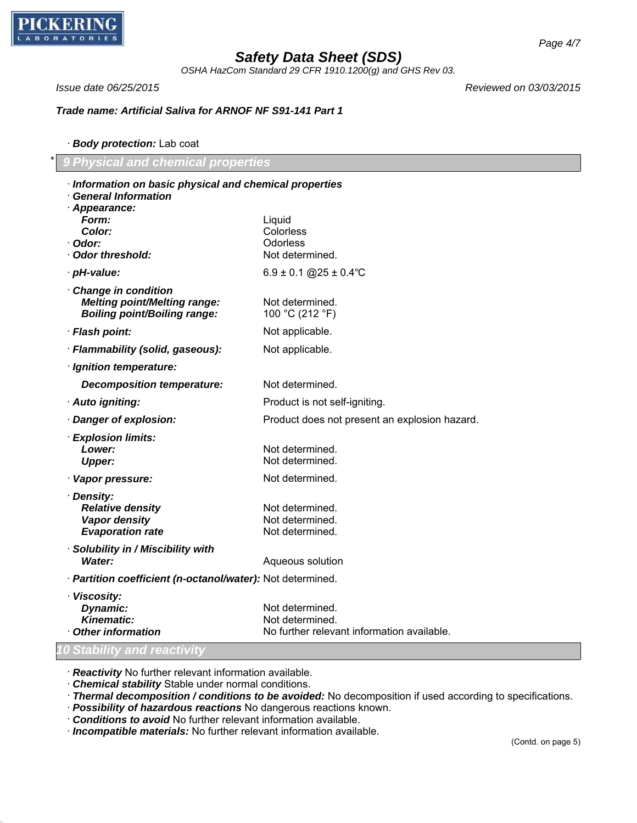

*OSHA HazCom Standard 29 CFR 1910.1200(g) and GHS Rev 03.*

*Issue date 06/25/2015 Reviewed on 03/03/2015*

*Trade name: Artificial Saliva for ARNOF NF S91-141 Part 1*

· *Body protection:* Lab coat

\* *9 Physical and chemical properties*

| Information on basic physical and chemical properties<br><b>General Information</b> |                                               |
|-------------------------------------------------------------------------------------|-----------------------------------------------|
| · Appearance:                                                                       |                                               |
| Form:                                                                               | Liquid                                        |
| Color:                                                                              | Colorless                                     |
| · Odor:                                                                             | <b>Odorless</b>                               |
| Odor threshold:                                                                     | Not determined.                               |
| · pH-value:                                                                         | $6.9 \pm 0.1$ @ $25 \pm 0.4$ °C               |
| Change in condition                                                                 |                                               |
| <b>Melting point/Melting range:</b>                                                 | Not determined.                               |
| <b>Boiling point/Boiling range:</b>                                                 | 100 °C (212 °F)                               |
| · Flash point:                                                                      | Not applicable.                               |
| · Flammability (solid, gaseous):                                                    | Not applicable.                               |
| · Ignition temperature:                                                             |                                               |
| <b>Decomposition temperature:</b>                                                   | Not determined.                               |
| · Auto igniting:                                                                    | Product is not self-igniting.                 |
| Danger of explosion:                                                                | Product does not present an explosion hazard. |
| · Explosion limits:                                                                 |                                               |
| Lower:                                                                              | Not determined.                               |
| <b>Upper:</b>                                                                       | Not determined.                               |
| · Vapor pressure:                                                                   | Not determined.                               |
| · Density:                                                                          |                                               |
| <b>Relative density</b>                                                             | Not determined.                               |
| Vapor density<br><b>Evaporation rate</b>                                            | Not determined.<br>Not determined.            |
|                                                                                     |                                               |
| · Solubility in / Miscibility with<br>Water:                                        | Aqueous solution                              |
|                                                                                     |                                               |
| · Partition coefficient (n-octanol/water): Not determined.                          |                                               |
| · Viscosity:                                                                        |                                               |
| Dynamic:<br><b>Kinematic:</b>                                                       | Not determined.<br>Not determined.            |
| Other information                                                                   | No further relevant information available.    |
|                                                                                     |                                               |
| <u><b>0 Stability and reactivity</b></u>                                            |                                               |

· *Reactivity* No further relevant information available.

· *Chemical stability* Stable under normal conditions.

· *Thermal decomposition / conditions to be avoided:* No decomposition if used according to specifications.

- · *Possibility of hazardous reactions* No dangerous reactions known.
- · *Conditions to avoid* No further relevant information available.

· *Incompatible materials:* No further relevant information available.

*Page 4/7*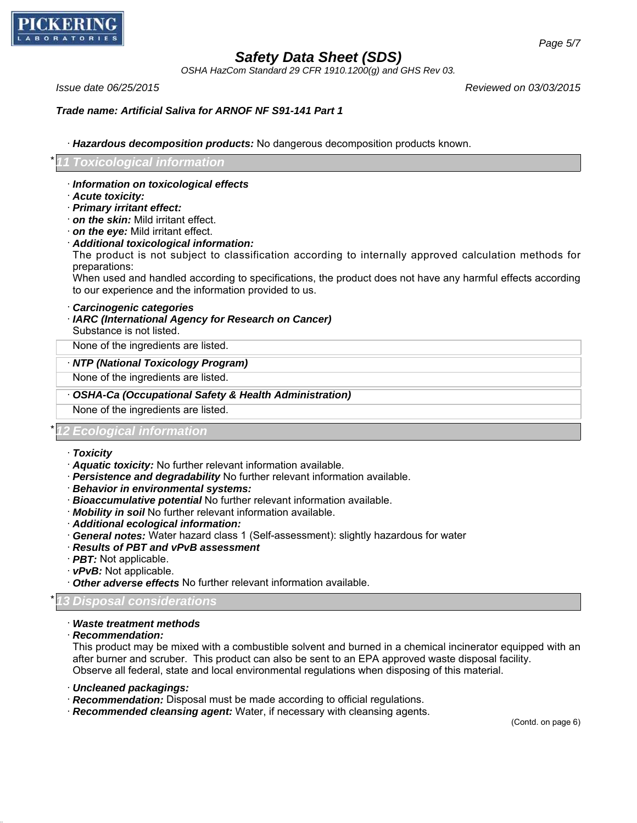

*OSHA HazCom Standard 29 CFR 1910.1200(g) and GHS Rev 03.*

*Issue date 06/25/2015 Reviewed on 03/03/2015*

*Trade name: Artificial Saliva for ARNOF NF S91-141 Part 1*

· *Hazardous decomposition products:* No dangerous decomposition products known.

#### \* *11 Toxicological information*

- · *Information on toxicological effects*
- · *Acute toxicity:*
- · *Primary irritant effect:*
- · *on the skin:* Mild irritant effect.
- · *on the eye:* Mild irritant effect.
- · *Additional toxicological information:*

The product is not subject to classification according to internally approved calculation methods for preparations:

When used and handled according to specifications, the product does not have any harmful effects according to our experience and the information provided to us.

- · *Carcinogenic categories*
- · *IARC (International Agency for Research on Cancer)* Substance is not listed.

None of the ingredients are listed.

#### · *NTP (National Toxicology Program)*

None of the ingredients are listed.

· *OSHA-Ca (Occupational Safety & Health Administration)*

None of the ingredients are listed.

#### \* *12 Ecological information*

- · *Toxicity*
- · *Aquatic toxicity:* No further relevant information available.
- · *Persistence and degradability* No further relevant information available.
- · *Behavior in environmental systems:*
- · *Bioaccumulative potential* No further relevant information available.
- · *Mobility in soil* No further relevant information available.
- · *Additional ecological information:*
- · *General notes:* Water hazard class 1 (Self-assessment): slightly hazardous for water
- · *Results of PBT and vPvB assessment*
- · *PBT:* Not applicable.
- · *vPvB:* Not applicable.
- · *Other adverse effects* No further relevant information available.

#### \* *13 Disposal considerations*

#### · *Waste treatment methods*

#### · *Recommendation:*

This product may be mixed with a combustible solvent and burned in a chemical incinerator equipped with an after burner and scruber. This product can also be sent to an EPA approved waste disposal facility. Observe all federal, state and local environmental regulations when disposing of this material.

- · *Uncleaned packagings:*
- · *Recommendation:* Disposal must be made according to official regulations.
- · *Recommended cleansing agent:* Water, if necessary with cleansing agents.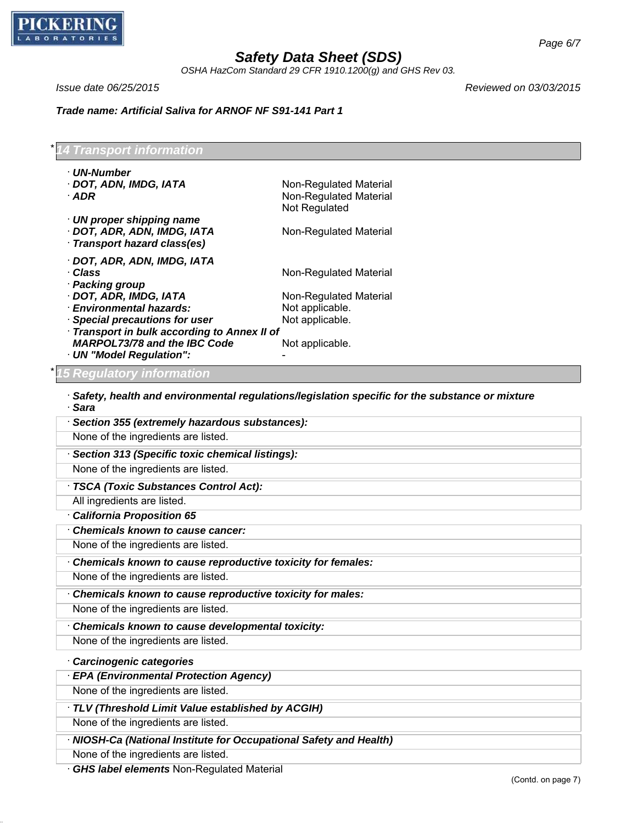

*OSHA HazCom Standard 29 CFR 1910.1200(g) and GHS Rev 03.*

*Issue date 06/25/2015 Reviewed on 03/03/2015*

*Trade name: Artificial Saliva for ARNOF NF S91-141 Part 1*

\* *14 Transport information* · *UN-Number* · **DOT, ADN, IMDG, IATA** Non-Regulated Material · **ADR** Non-Regulated Material Not Regulated · *UN proper shipping name* · **DOT, ADR, ADN, IMDG, IATA** Non-Regulated Material · *Transport hazard class(es)* · *DOT, ADR, ADN, IMDG, IATA* · **Class** Non-Regulated Material · *Packing group* · **DOT, ADR, IMDG, IATA** Non-Regulated Material · *Environmental hazards:* Not applicable. · **Special precautions for user** Not applicable. · *Transport in bulk according to Annex II of MARPOL73/78 and the IBC Code* Not applicable. · *UN "Model Regulation":* - \* *15 Regulatory information* · *Safety, health and environmental regulations/legislation specific for the substance or mixture* · *Sara* · *Section 355 (extremely hazardous substances):* None of the ingredients are listed. · *Section 313 (Specific toxic chemical listings):* None of the ingredients are listed. · *TSCA (Toxic Substances Control Act):* All ingredients are listed. · *California Proposition 65* · *Chemicals known to cause cancer:* None of the ingredients are listed. · *Chemicals known to cause reproductive toxicity for females:* None of the ingredients are listed. · *Chemicals known to cause reproductive toxicity for males:* None of the ingredients are listed. · *Chemicals known to cause developmental toxicity:* None of the ingredients are listed. · *Carcinogenic categories* · *EPA (Environmental Protection Agency)* None of the ingredients are listed. · *TLV (Threshold Limit Value established by ACGIH)* None of the ingredients are listed. · *NIOSH-Ca (National Institute for Occupational Safety and Health)* None of the ingredients are listed. · *GHS label elements* Non-Regulated Material